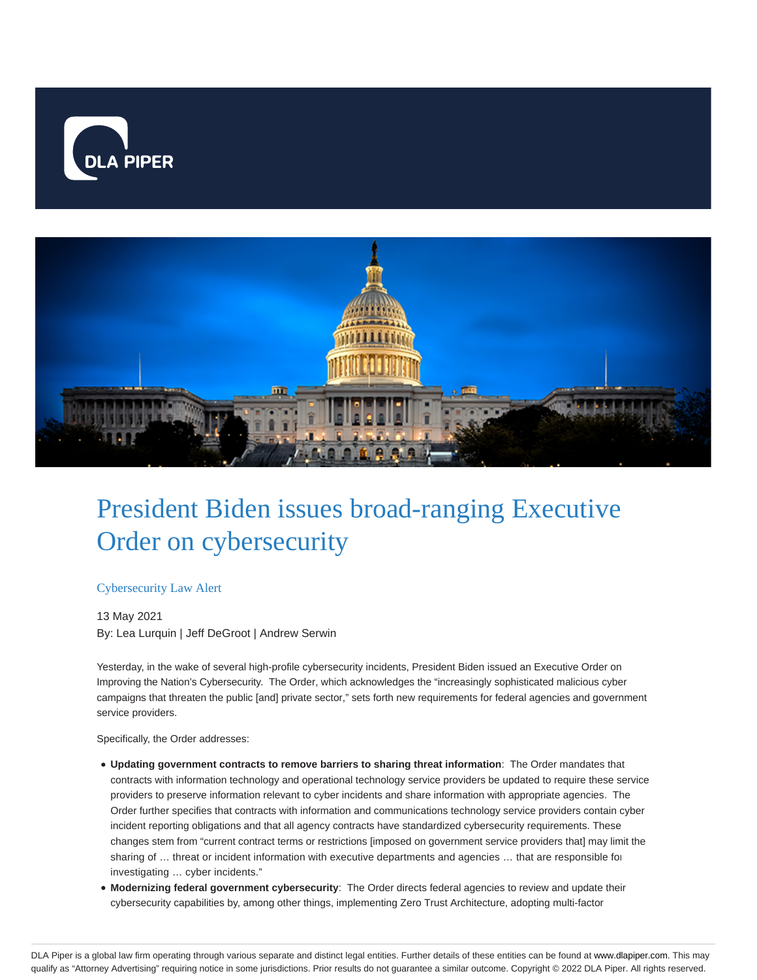



# President Biden issues broad-ranging Executive Order on cybersecurity

### Cybersecurity Law Alert

13 May 2021 By: Lea Lurquin | Jeff DeGroot | Andrew Serwin

Yesterday, in the wake of several high-profile cybersecurity incidents, President Biden issued an Executive Order on Improving the Nation's Cybersecurity. The Order, which acknowledges the "increasingly sophisticated malicious cyber campaigns that threaten the public [and] private sector," sets forth new requirements for federal agencies and government service providers.

Specifically, the Order addresses:

- **Updating government contracts to remove barriers to sharing threat information**: The Order mandates that contracts with information technology and operational technology service providers be updated to require these service providers to preserve information relevant to cyber incidents and share information with appropriate agencies. The Order further specifies that contracts with information and communications technology service providers contain cyber incident reporting obligations and that all agency contracts have standardized cybersecurity requirements. These changes stem from "current contract terms or restrictions [imposed on government service providers that] may limit the sharing of ... threat or incident information with executive departments and agencies ... that are responsible for investigating … cyber incidents."
- **Modernizing federal government cybersecurity**: The Order directs federal agencies to review and update their cybersecurity capabilities by, among other things, implementing Zero Trust Architecture, adopting multi-factor

DLA Piper is a global law firm operating through various separate and distinct legal entities. Further details of these entities can be found at www.dlapiper.com. This may qualify as "Attorney Advertising" requiring notice in some jurisdictions. Prior results do not guarantee a similar outcome. Copyright © 2022 DLA Piper. All rights reserved.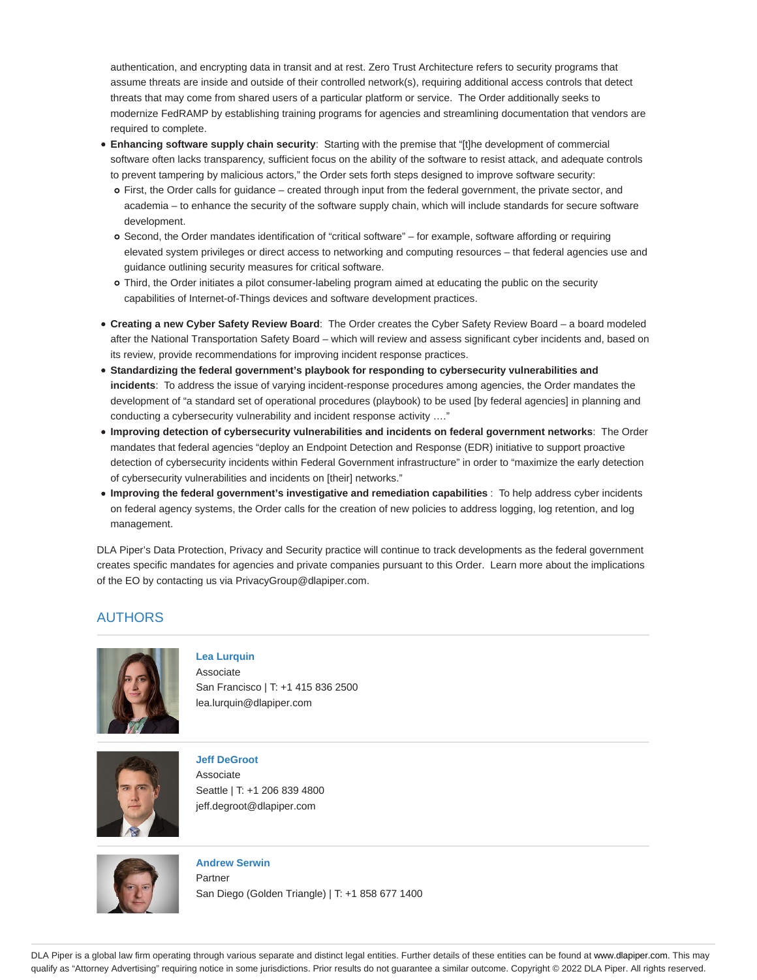authentication, and encrypting data in transit and at rest. Zero Trust Architecture refers to security programs that assume threats are inside and outside of their controlled network(s), requiring additional access controls that detect threats that may come from shared users of a particular platform or service. The Order additionally seeks to modernize FedRAMP by establishing training programs for agencies and streamlining documentation that vendors are required to complete.

- **Enhancing software supply chain security**: Starting with the premise that "[t]he development of commercial software often lacks transparency, sufficient focus on the ability of the software to resist attack, and adequate controls to prevent tampering by malicious actors," the Order sets forth steps designed to improve software security:
	- First, the Order calls for guidance created through input from the federal government, the private sector, and academia – to enhance the security of the software supply chain, which will include standards for secure software development.
	- Second, the Order mandates identification of "critical software" for example, software affording or requiring elevated system privileges or direct access to networking and computing resources – that federal agencies use and guidance outlining security measures for critical software.
	- Third, the Order initiates a pilot consumer-labeling program aimed at educating the public on the security capabilities of Internet-of-Things devices and software development practices.
- **Creating a new Cyber Safety Review Board**: The Order creates the Cyber Safety Review Board a board modeled after the National Transportation Safety Board – which will review and assess significant cyber incidents and, based on its review, provide recommendations for improving incident response practices.
- **Standardizing the federal government's playbook for responding to cybersecurity vulnerabilities and incidents**: To address the issue of varying incident-response procedures among agencies, the Order mandates the development of "a standard set of operational procedures (playbook) to be used [by federal agencies] in planning and conducting a cybersecurity vulnerability and incident response activity …."
- **Improving detection of cybersecurity vulnerabilities and incidents on federal government networks**: The Order mandates that federal agencies "deploy an Endpoint Detection and Response (EDR) initiative to support proactive detection of cybersecurity incidents within Federal Government infrastructure" in order to "maximize the early detection of cybersecurity vulnerabilities and incidents on [their] networks."
- **Improving the federal government's investigative and remediation capabilities** : To help address cyber incidents on federal agency systems, the Order calls for the creation of new policies to address logging, log retention, and log management.

DLA Piper's Data Protection, Privacy and Security practice will continue to track developments as the federal government creates specific mandates for agencies and private companies pursuant to this Order. Learn more about the implications of the EO by contacting us via PrivacyGroup@dlapiper.com.

## AUTHORS



### **Lea Lurquin**

Associate San Francisco | T: +1 415 836 2500 lea.lurquin@dlapiper.com



## **Jeff DeGroot**

Associate Seattle | T: +1 206 839 4800 jeff.degroot@dlapiper.com



**Andrew Serwin** Partner San Diego (Golden Triangle) | T: +1 858 677 1400

DLA Piper is a global law firm operating through various separate and distinct legal entities. Further details of these entities can be found at www.dlapiper.com. This may qualify as "Attorney Advertising" requiring notice in some jurisdictions. Prior results do not guarantee a similar outcome. Copyright © 2022 DLA Piper. All rights reserved.